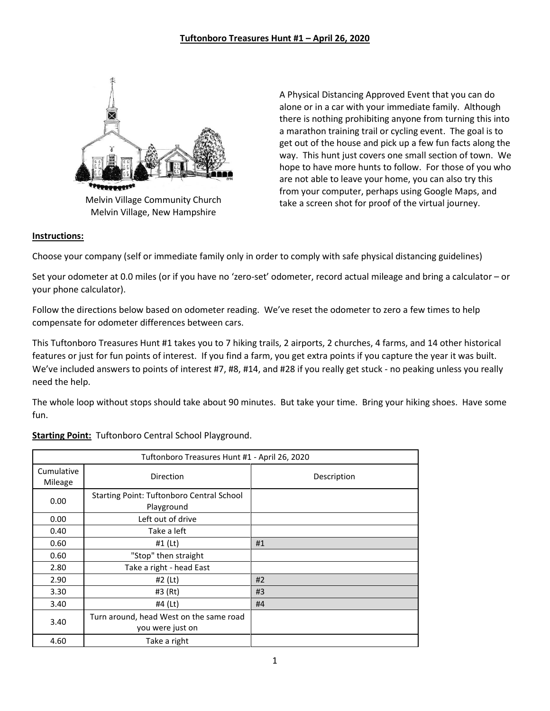

Melvin Village, New Hampshire

A Physical Distancing Approved Event that you can do alone or in a car with your immediate family. Although there is nothing prohibiting anyone from turning this into a marathon training trail or cycling event. The goal is to get out of the house and pick up a few fun facts along the way. This hunt just covers one small section of town. We hope to have more hunts to follow. For those of you who are not able to leave your home, you can also try this from your computer, perhaps using Google Maps, and take a screen shot for proof of the virtual journey.

## **Instructions:**

Choose your company (self or immediate family only in order to comply with safe physical distancing guidelines)

Set your odometer at 0.0 miles (or if you have no 'zero-set' odometer, record actual mileage and bring a calculator – or your phone calculator).

Follow the directions below based on odometer reading. We've reset the odometer to zero a few times to help compensate for odometer differences between cars.

This Tuftonboro Treasures Hunt #1 takes you to 7 hiking trails, 2 airports, 2 churches, 4 farms, and 14 other historical features or just for fun points of interest. If you find a farm, you get extra points if you capture the year it was built. We've included answers to points of interest #7, #8, #14, and #28 if you really get stuck - no peaking unless you really need the help.

The whole loop without stops should take about 90 minutes. But take your time. Bring your hiking shoes. Have some fun.

| Tuftonboro Treasures Hunt #1 - April 26, 2020 |                                                                |             |
|-----------------------------------------------|----------------------------------------------------------------|-------------|
| Cumulative<br>Mileage                         | <b>Direction</b>                                               | Description |
| 0.00                                          | <b>Starting Point: Tuftonboro Central School</b><br>Playground |             |
| 0.00                                          | Left out of drive                                              |             |
| 0.40                                          | Take a left                                                    |             |
| 0.60                                          | #1 (Lt)                                                        | #1          |
| 0.60                                          | "Stop" then straight                                           |             |
| 2.80                                          | Take a right - head East                                       |             |
| 2.90                                          | #2 (Lt)                                                        | #2          |
| 3.30                                          | #3 (Rt)                                                        | #3          |
| 3.40                                          | #4 (Lt)                                                        | #4          |
| 3.40                                          | Turn around, head West on the same road<br>you were just on    |             |
| 4.60                                          | Take a right                                                   |             |

## **Starting Point:** Tuftonboro Central School Playground.